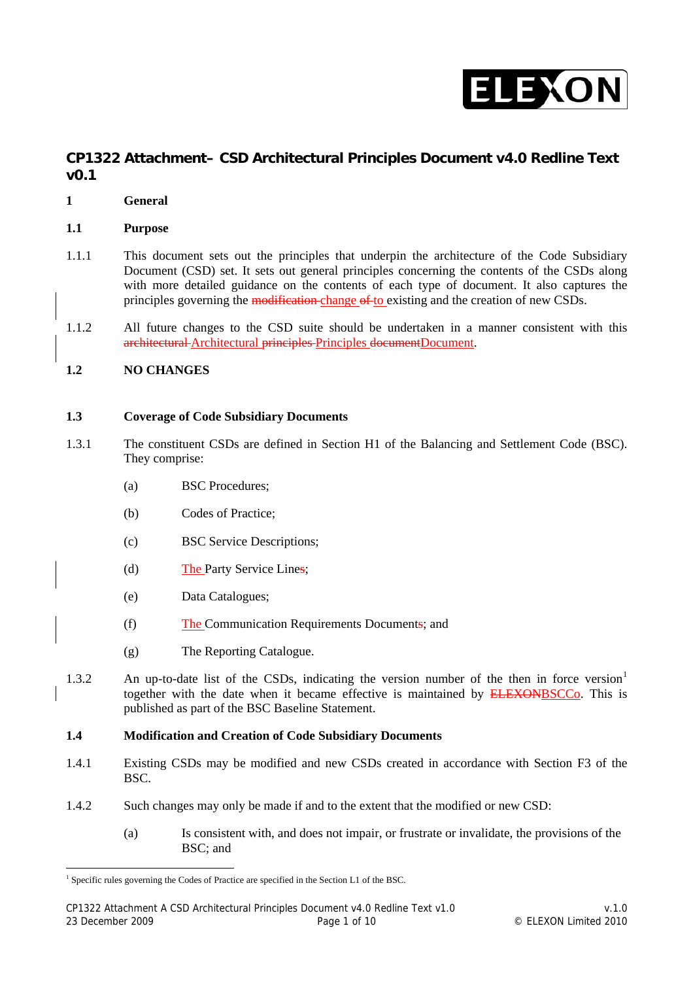

# **CP1322 Attachment– CSD Architectural Principles Document v4.0 Redline Text v0.1**

- **1 General**
- **1.1 Purpose**
- 1.1.1 This document sets out the principles that underpin the architecture of the Code Subsidiary Document (CSD) set. It sets out general principles concerning the contents of the CSDs along with more detailed guidance on the contents of each type of document. It also captures the principles governing the modification change of to existing and the creation of new CSDs.
- 1.1.2 All future changes to the CSD suite should be undertaken in a manner consistent with this architectural Architectural principles Principles documentDocument.

## **1.2 NO CHANGES**

 $\overline{a}$ 

#### **1.3 Coverage of Code Subsidiary Documents**

- 1.3.1 The constituent CSDs are defined in Section H1 of the Balancing and Settlement Code (BSC). They comprise:
	- (a) BSC Procedures;
	- (b) Codes of Practice;
	- (c) BSC Service Descriptions;
	- (d) The Party Service Lines;
	- (e) Data Catalogues;
	- (f) The Communication Requirements Documents; and
	- (g) The Reporting Catalogue.
- [1](#page-0-0).3.2 An up-to-date list of the CSDs, indicating the version number of the then in force version<sup>1</sup> together with the date when it became effective is maintained by ELEXONBSCCo. This is published as part of the BSC Baseline Statement.

#### **1.4 Modification and Creation of Code Subsidiary Documents**

- 1.4.1 Existing CSDs may be modified and new CSDs created in accordance with Section F3 of the BSC.
- 1.4.2 Such changes may only be made if and to the extent that the modified or new CSD:
	- (a) Is consistent with, and does not impair, or frustrate or invalidate, the provisions of the BSC; and

<span id="page-0-0"></span><sup>&</sup>lt;sup>1</sup> Specific rules governing the Codes of Practice are specified in the Section L1 of the BSC.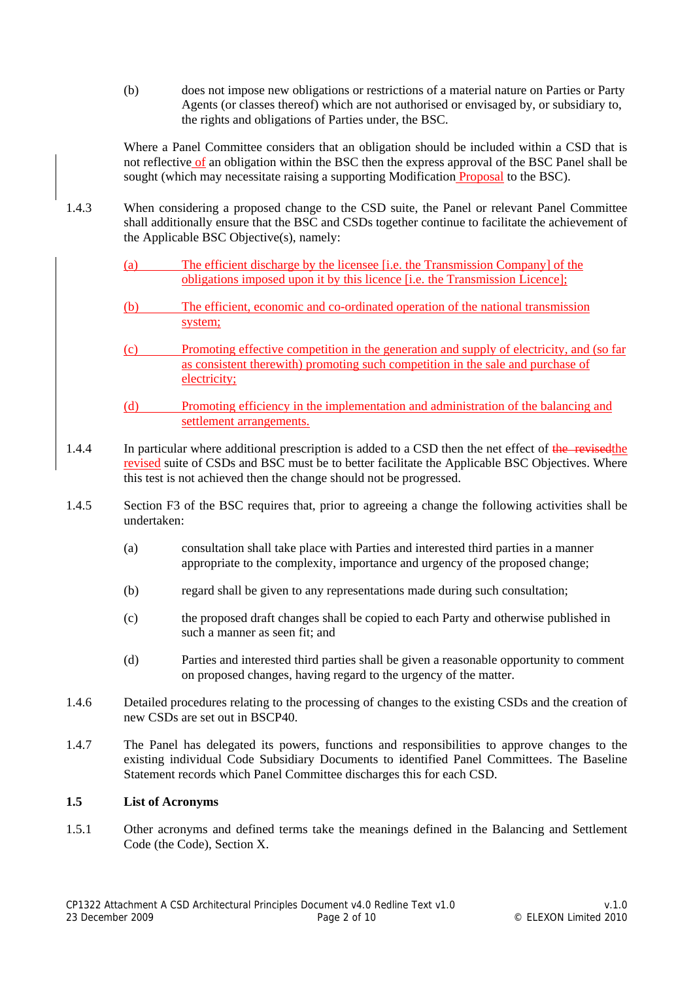(b) does not impose new obligations or restrictions of a material nature on Parties or Party Agents (or classes thereof) which are not authorised or envisaged by, or subsidiary to, the rights and obligations of Parties under, the BSC.

Where a Panel Committee considers that an obligation should be included within a CSD that is not reflective of an obligation within the BSC then the express approval of the BSC Panel shall be sought (which may necessitate raising a supporting Modification Proposal to the BSC).

- 1.4.3 When considering a proposed change to the CSD suite, the Panel or relevant Panel Committee shall additionally ensure that the BSC and CSDs together continue to facilitate the achievement of the Applicable BSC Objective(s), namely:
	- (a) The efficient discharge by the licensee [i.e. the Transmission Company] of the obligations imposed upon it by this licence [i.e. the Transmission Licence];
	- (b) The efficient, economic and co-ordinated operation of the national transmission system;
	- (c) Promoting effective competition in the generation and supply of electricity, and (so far as consistent therewith) promoting such competition in the sale and purchase of electricity;
	- (d) Promoting efficiency in the implementation and administration of the balancing and settlement arrangements.
- 1.4.4 In particular where additional prescription is added to a CSD then the net effect of the revised the revised suite of CSDs and BSC must be to better facilitate the Applicable BSC Objectives. Where this test is not achieved then the change should not be progressed.
- 1.4.5 Section F3 of the BSC requires that, prior to agreeing a change the following activities shall be undertaken:
	- (a) consultation shall take place with Parties and interested third parties in a manner appropriate to the complexity, importance and urgency of the proposed change;
	- (b) regard shall be given to any representations made during such consultation;
	- (c) the proposed draft changes shall be copied to each Party and otherwise published in such a manner as seen fit; and
	- (d) Parties and interested third parties shall be given a reasonable opportunity to comment on proposed changes, having regard to the urgency of the matter.
- 1.4.6 Detailed procedures relating to the processing of changes to the existing CSDs and the creation of new CSDs are set out in BSCP40.
- 1.4.7 The Panel has delegated its powers, functions and responsibilities to approve changes to the existing individual Code Subsidiary Documents to identified Panel Committees. The Baseline Statement records which Panel Committee discharges this for each CSD.

# **1.5 List of Acronyms**

1.5.1 Other acronyms and defined terms take the meanings defined in the Balancing and Settlement Code (the Code), Section X.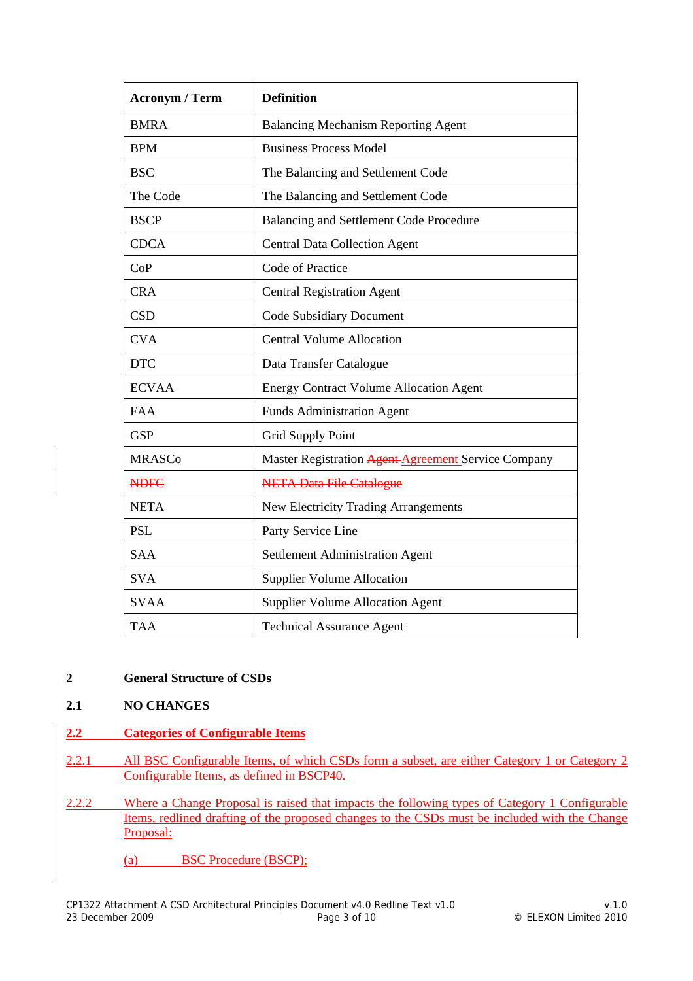| <b>Acronym / Term</b> | <b>Definition</b>                                   |
|-----------------------|-----------------------------------------------------|
| <b>BMRA</b>           | <b>Balancing Mechanism Reporting Agent</b>          |
| <b>BPM</b>            | <b>Business Process Model</b>                       |
| <b>BSC</b>            | The Balancing and Settlement Code                   |
| The Code              | The Balancing and Settlement Code                   |
| <b>BSCP</b>           | <b>Balancing and Settlement Code Procedure</b>      |
| <b>CDCA</b>           | <b>Central Data Collection Agent</b>                |
| CoP                   | Code of Practice                                    |
| <b>CRA</b>            | <b>Central Registration Agent</b>                   |
| <b>CSD</b>            | <b>Code Subsidiary Document</b>                     |
| <b>CVA</b>            | <b>Central Volume Allocation</b>                    |
| <b>DTC</b>            | Data Transfer Catalogue                             |
| <b>ECVAA</b>          | <b>Energy Contract Volume Allocation Agent</b>      |
| <b>FAA</b>            | <b>Funds Administration Agent</b>                   |
| <b>GSP</b>            | <b>Grid Supply Point</b>                            |
| <b>MRASCo</b>         | Master Registration Agent-Agreement Service Company |
| <b>NDFC</b>           | <b>NETA Data File Catalogue</b>                     |
| <b>NETA</b>           | New Electricity Trading Arrangements                |
| <b>PSL</b>            | Party Service Line                                  |
| <b>SAA</b>            | <b>Settlement Administration Agent</b>              |
| <b>SVA</b>            | <b>Supplier Volume Allocation</b>                   |
| <b>SVAA</b>           | <b>Supplier Volume Allocation Agent</b>             |
| <b>TAA</b>            | <b>Technical Assurance Agent</b>                    |

# **2 General Structure of CSDs**

# **2.1 NO CHANGES**

- **2.2 Categories of Configurable Items**
- 2.2.1 All BSC Configurable Items, of which CSDs form a subset, are either Category 1 or Category 2 Configurable Items, as defined in BSCP40.
- 2.2.2 Where a Change Proposal is raised that impacts the following types of Category 1 Configurable Items, redlined drafting of the proposed changes to the CSDs must be included with the Change Proposal:
	- (a) BSC Procedure (BSCP);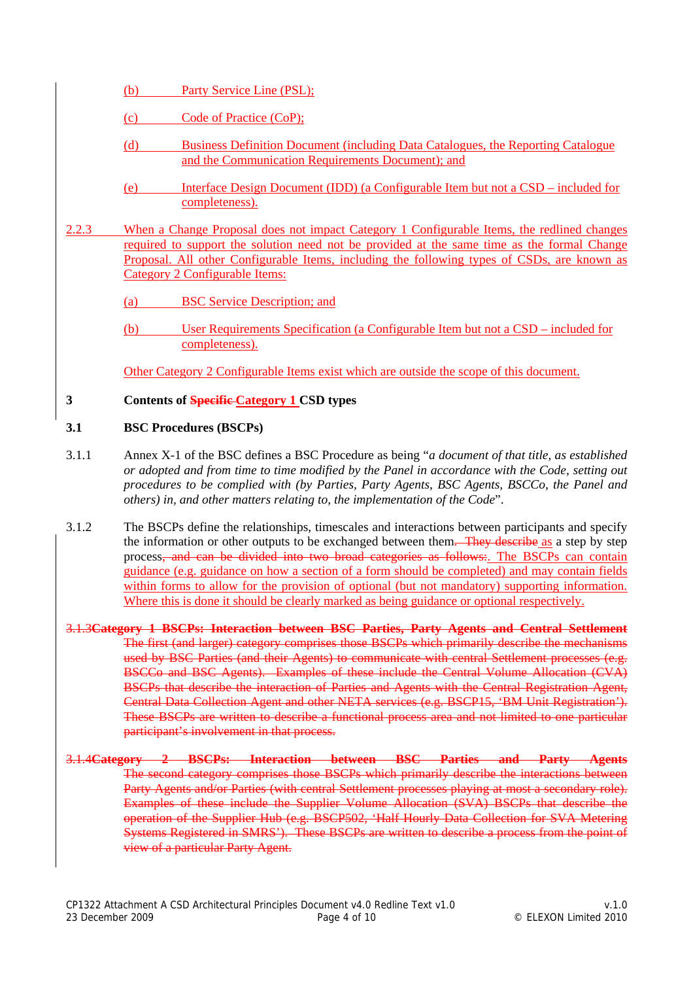- (b) Party Service Line (PSL);
- (c) Code of Practice (CoP);
- (d) Business Definition Document (including Data Catalogues, the Reporting Catalogue and the Communication Requirements Document); and
- (e) Interface Design Document (IDD) (a Configurable Item but not a CSD included for completeness).
- 2.2.3 When a Change Proposal does not impact Category 1 Configurable Items, the redlined changes required to support the solution need not be provided at the same time as the formal Change Proposal. All other Configurable Items, including the following types of CSDs, are known as Category 2 Configurable Items:
	- (a) BSC Service Description; and
	- (b) User Requirements Specification (a Configurable Item but not a CSD included for completeness).

Other Category 2 Configurable Items exist which are outside the scope of this document.

## **3 Contents of Specific Category 1 CSD types**

## **3.1 BSC Procedures (BSCPs)**

- 3.1.1 Annex X-1 of the BSC defines a BSC Procedure as being "*a document of that title, as established or adopted and from time to time modified by the Panel in accordance with the Code, setting out procedures to be complied with (by Parties, Party Agents, BSC Agents, BSCCo, the Panel and others) in, and other matters relating to, the implementation of the Code*".
- 3.1.2 The BSCPs define the relationships, timescales and interactions between participants and specify the information or other outputs to be exchanged between them. They describe as a step by step process, and can be divided into two broad categories as follows:. The BSCPs can contain guidance (e.g. guidance on how a section of a form should be completed) and may contain fields within forms to allow for the provision of optional (but not mandatory) supporting information. Where this is done it should be clearly marked as being guidance or optional respectively.
- 3.1.3**Category 1 BSCPs: Interaction between BSC Parties, Party Agents and Central Settlement** The first (and larger) category comprises those BSCPs which primarily describe the mechanisms used by BSC Parties (and their Agents) to communicate with central Settlement processes (e.g. BSCCo and BSC Agents). Examples of these include the Central Volume Allocation (CVA) BSCPs that describe the interaction of Parties and Agents with the Central Registration Agent, Central Data Collection Agent and other NETA services (e.g. BSCP15, 'BM Unit Registration'). These BSCPs are written to describe a functional process area and not limited to one particular participant's involvement in that process.
- 3.1.4**Category 2 BSCPs: Interaction between BSC Parties and Party Agents** The second category comprises those BSCPs which primarily describe the interactions between Party Agents and/or Parties (with central Settlement processes playing at most a secondary role). Examples of these include the Supplier Volume Allocation (SVA) BSCPs that describe the operation of the Supplier Hub (e.g. BSCP502, 'Half Hourly Data Collection for SVA Metering Systems Registered in SMRS'). These BSCPs are written to describe a process from the point of view of a particular Party Agent.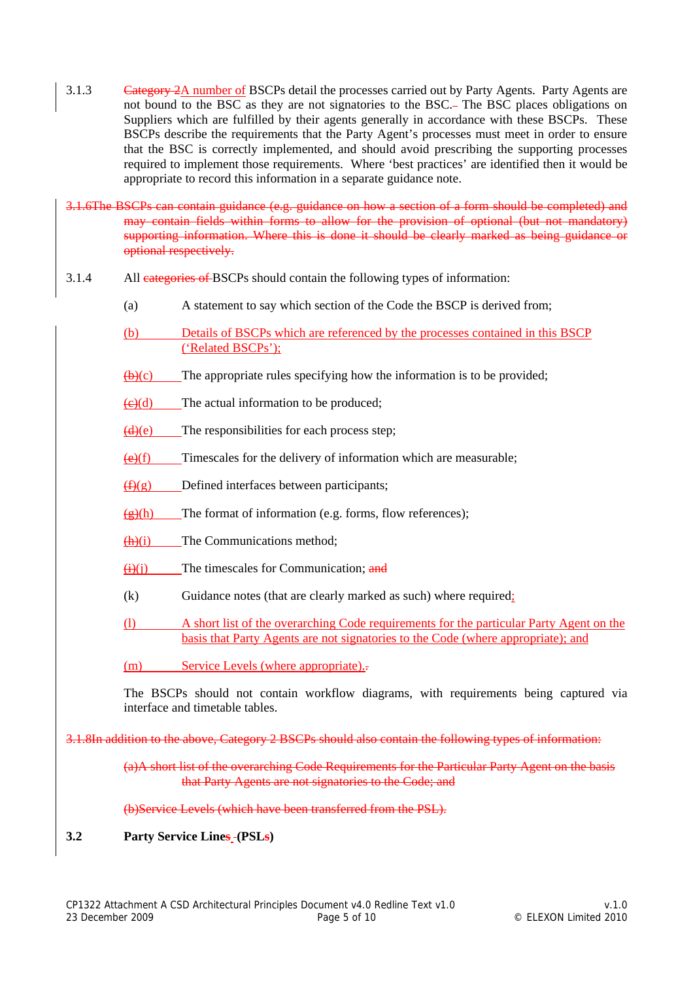3.1.3 Category 2A number of BSCPs detail the processes carried out by Party Agents. Party Agents are not bound to the BSC as they are not signatories to the BSC. The BSC places obligations on Suppliers which are fulfilled by their agents generally in accordance with these BSCPs. These BSCPs describe the requirements that the Party Agent's processes must meet in order to ensure that the BSC is correctly implemented, and should avoid prescribing the supporting processes required to implement those requirements. Where 'best practices' are identified then it would be appropriate to record this information in a separate guidance note.

3.1.6The BSCPs can contain guidance (e.g. guidance on how a section of a form should be completed) and may contain fields within forms to allow for the provision of optional (but not mandatory) supporting information. Where this is done it should be clearly marked as being guidance or optional respectively.

- 3.1.4 All categories of BSCPs should contain the following types of information:
	- (a) A statement to say which section of the Code the BSCP is derived from;
	- (b) Details of BSCPs which are referenced by the processes contained in this BSCP ('Related BSCPs');
	- $\overline{(b)}(c)$  The appropriate rules specifying how the information is to be provided;
	- $(e)(d)$  The actual information to be produced;
	- $(d)(e)$  The responsibilities for each process step;
	- $\left(\frac{e}{f}\right)$  Timescales for the delivery of information which are measurable;
	- $(f)(g)$  Defined interfaces between participants;
	- $\left(\frac{g}{g}\right)$ (h) The format of information (e.g. forms, flow references);
	- $(h)(i)$  The Communications method;
	- $\overrightarrow{(ii)}$ (i) The timescales for Communication; and
	- (k) Guidance notes (that are clearly marked as such) where required;
	- (l) A short list of the overarching Code requirements for the particular Party Agent on the basis that Party Agents are not signatories to the Code (where appropriate); and
	- (m) Service Levels (where appropriate)...

The BSCPs should not contain workflow diagrams, with requirements being captured via interface and timetable tables.

3.1.8In addition to the above, Category 2 BSCPs should also contain the following types of information:

(a)A short list of the overarching Code Requirements for the Particular Party Agent on the basis that Party Agents are not signatories to the Code; and

(b)Service Levels (which have been transferred from the PSL).

**3.2 Party Service Lines (PSLs)**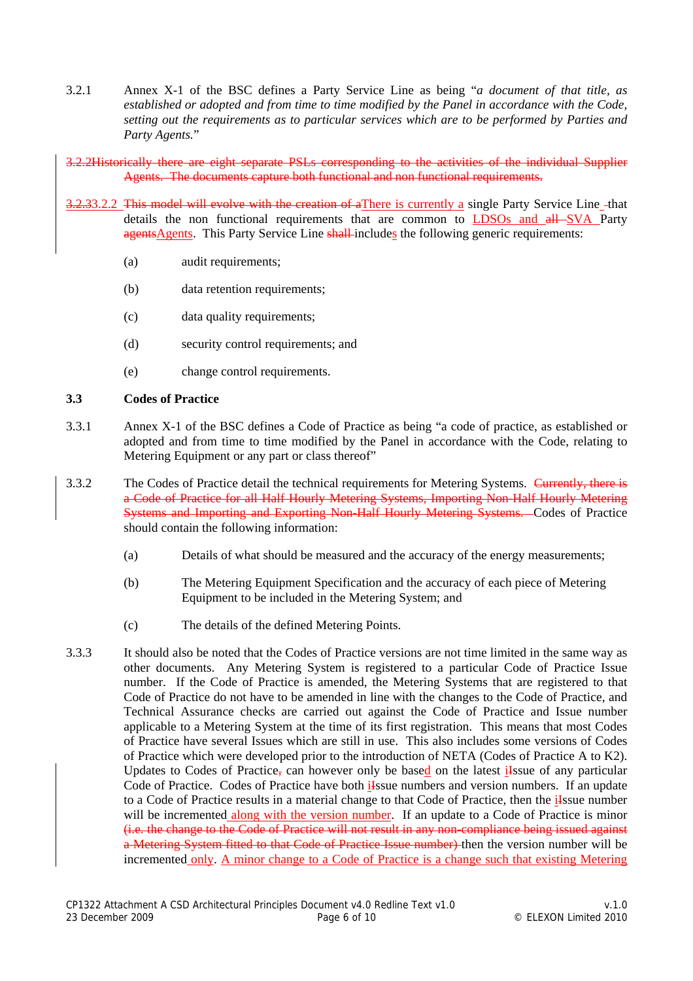- 3.2.1 Annex X-1 of the BSC defines a Party Service Line as being "*a document of that title, as established or adopted and from time to time modified by the Panel in accordance with the Code, setting out the requirements as to particular services which are to be performed by Parties and Party Agents.*"
- 3.2.2Historically there are eight separate PSLs corresponding to the activities of the individual Supplier Agents. The documents capture both functional and non functional requirements.
- 3.2.33.2.2 This model will evolve with the creation of aThere is currently a single Party Service Line -that details the non functional requirements that are common to LDSOs and all SVA Party agentsAgents. This Party Service Line shall-includes the following generic requirements:
	- (a) audit requirements;
	- (b) data retention requirements;
	- (c) data quality requirements;
	- (d) security control requirements; and
	- (e) change control requirements.

## **3.3 Codes of Practice**

- 3.3.1 Annex X-1 of the BSC defines a Code of Practice as being "a code of practice, as established or adopted and from time to time modified by the Panel in accordance with the Code, relating to Metering Equipment or any part or class thereof"
- 3.3.2 The Codes of Practice detail the technical requirements for Metering Systems. Currently, there is a Code of Practice for all Half Hourly Metering Systems, Importing Non-Half Hourly Metering Systems and Importing and Exporting Non-Half Hourly Metering Systems. Codes of Practice should contain the following information:
	- (a) Details of what should be measured and the accuracy of the energy measurements;
	- (b) The Metering Equipment Specification and the accuracy of each piece of Metering Equipment to be included in the Metering System; and
	- (c) The details of the defined Metering Points.
- 3.3.3 It should also be noted that the Codes of Practice versions are not time limited in the same way as other documents. Any Metering System is registered to a particular Code of Practice Issue number. If the Code of Practice is amended, the Metering Systems that are registered to that Code of Practice do not have to be amended in line with the changes to the Code of Practice, and Technical Assurance checks are carried out against the Code of Practice and Issue number applicable to a Metering System at the time of its first registration. This means that most Codes of Practice have several Issues which are still in use. This also includes some versions of Codes of Practice which were developed prior to the introduction of NETA (Codes of Practice A to K2). Updates to Codes of Practice, can however only be based on the latest iksue of any particular Code of Practice. Codes of Practice have both ilssue numbers and version numbers. If an update to a Code of Practice results in a material change to that Code of Practice, then the ilssue number will be incremented along with the version number. If an update to a Code of Practice is minor (i.e. the change to the Code of Practice will not result in any non-compliance being issued against a Metering System fitted to that Code of Practice Issue number) then the version number will be incremented only. A minor change to a Code of Practice is a change such that existing Metering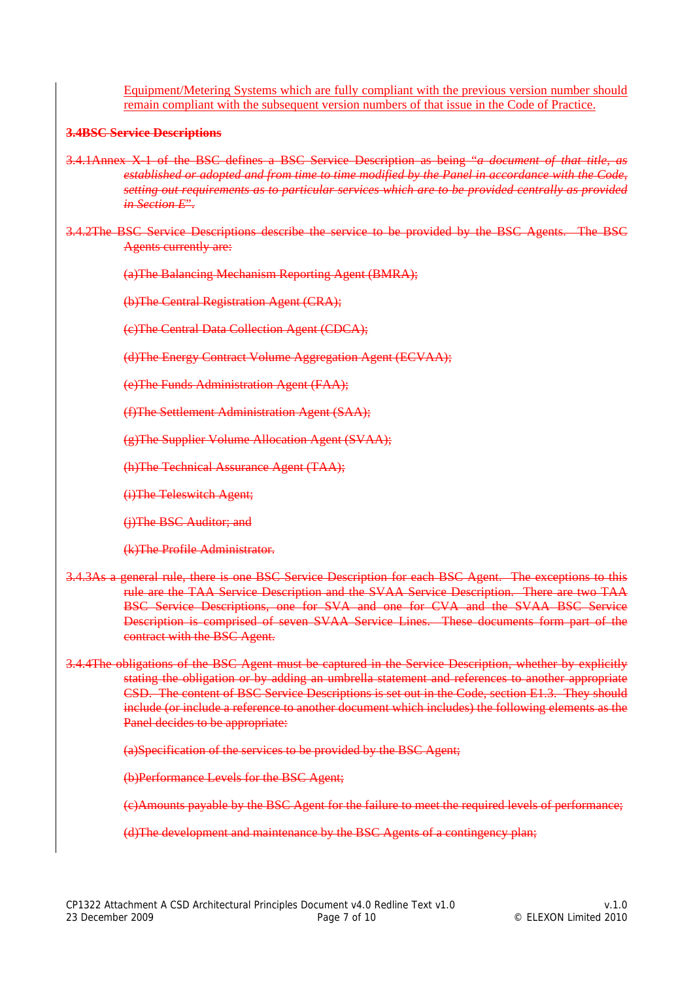Equipment/Metering Systems which are fully compliant with the previous version number should remain compliant with the subsequent version numbers of that issue in the Code of Practice.

## **3.4BSC Service Descriptions**

- 3.4.1Annex X-1 of the BSC defines a BSC Service Description as being "*a document of that title, as established or adopted and from time to time modified by the Panel in accordance with the Code, setting out requirements as to particular services which are to be provided centrally as provided in Section E*".
- 3.4.2The BSC Service Descriptions describe the service to be provided by the BSC Agents. The BSC Agents currently are:

(a)The Balancing Mechanism Reporting Agent (BMRA);

(b)The Central Registration Agent (CRA);

(c)The Central Data Collection Agent (CDCA);

(d)The Energy Contract Volume Aggregation Agent (ECVAA);

(e)The Funds Administration Agent (FAA);

(f)The Settlement Administration Agent (SAA);

(g)The Supplier Volume Allocation Agent (SVAA);

(h)The Technical Assurance Agent (TAA);

(i)The Teleswitch Agent;

(j)The BSC Auditor; and

(k)The Profile Administrator.

- 3.4.3As a general rule, there is one BSC Service Description for each BSC Agent. The exceptions to this rule are the TAA Service Description and the SVAA Service Description. There are two TAA BSC Service Descriptions, one for SVA and one for CVA and the SVAA BSC Service Description is comprised of seven SVAA Service Lines. These documents form part of the contract with the BSC Agent.
- 3.4.4The obligations of the BSC Agent must be captured in the Service Description, whether by explicitly stating the obligation or by adding an umbrella statement and references to another appropriate CSD. The content of BSC Service Descriptions is set out in the Code, section E1.3. They should include (or include a reference to another document which includes) the following elements as the Panel decides to be appropriate:

(a)Specification of the services to be provided by the BSC Agent;

(b)Performance Levels for the BSC Agent;

(c)Amounts payable by the BSC Agent for the failure to meet the required levels of performance;

(d)The development and maintenance by the BSC Agents of a contingency plan;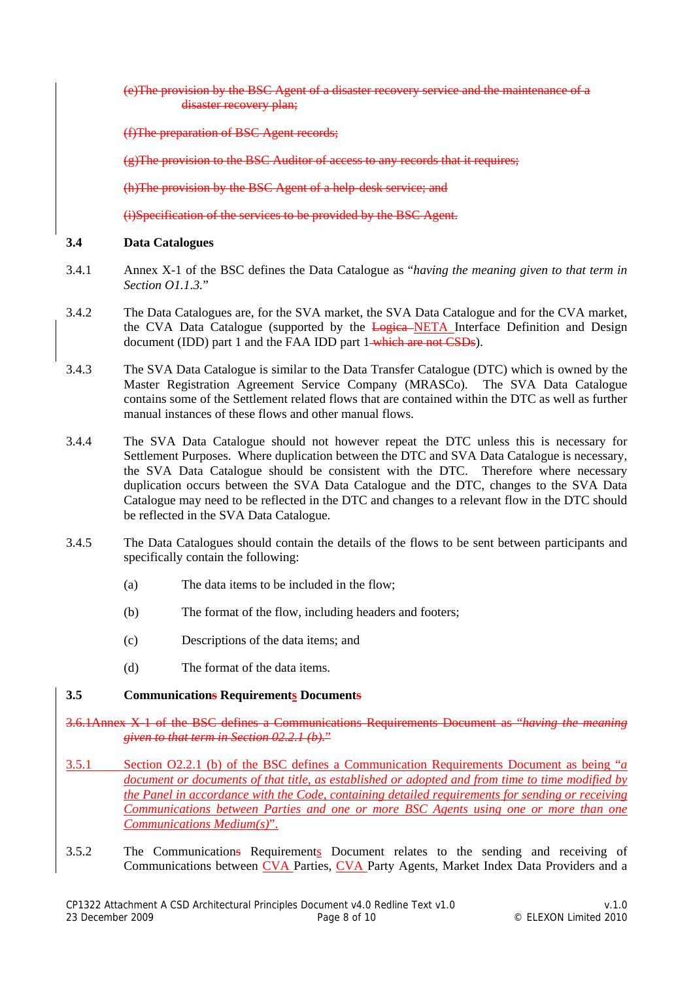(e)The provision by the BSC Agent of a disaster recovery service and the maintenance of a disaster recovery plan;

(f)The preparation of BSC Agent records;

(g)The provision to the BSC Auditor of access to any records that it requires;

(h)The provision by the BSC Agent of a help-desk service; and

(i)Specification of the services to be provided by the BSC Agent.

#### **3.4 Data Catalogues**

- 3.4.1 Annex X-1 of the BSC defines the Data Catalogue as "*having the meaning given to that term in Section O1.1.3.*"
- 3.4.2 The Data Catalogues are, for the SVA market, the SVA Data Catalogue and for the CVA market, the CVA Data Catalogue (supported by the Logica NETA Interface Definition and Design document (IDD) part 1 and the FAA IDD part 1-which are not CSDs).
- 3.4.3 The SVA Data Catalogue is similar to the Data Transfer Catalogue (DTC) which is owned by the Master Registration Agreement Service Company (MRASCo). The SVA Data Catalogue contains some of the Settlement related flows that are contained within the DTC as well as further manual instances of these flows and other manual flows.
- 3.4.4 The SVA Data Catalogue should not however repeat the DTC unless this is necessary for Settlement Purposes. Where duplication between the DTC and SVA Data Catalogue is necessary, the SVA Data Catalogue should be consistent with the DTC. Therefore where necessary duplication occurs between the SVA Data Catalogue and the DTC, changes to the SVA Data Catalogue may need to be reflected in the DTC and changes to a relevant flow in the DTC should be reflected in the SVA Data Catalogue.
- 3.4.5 The Data Catalogues should contain the details of the flows to be sent between participants and specifically contain the following:
	- (a) The data items to be included in the flow;
	- (b) The format of the flow, including headers and footers;
	- (c) Descriptions of the data items; and
	- (d) The format of the data items.

#### **3.5 Communications Requirements Documents**

- 3.6.1Annex X-1 of the BSC defines a Communications Requirements Document as "*having the meaning given to that term in Section 02.2.1 (b).*"
- 3.5.1 Section O2.2.1 (b) of the BSC defines a Communication Requirements Document as being "*a document or documents of that title, as established or adopted and from time to time modified by the Panel in accordance with the Code, containing detailed requirements for sending or receiving Communications between Parties and one or more BSC Agents using one or more than one Communications Medium(s)*".
- 3.5.2 The Communications Requirements Document relates to the sending and receiving of Communications between CVA Parties, CVA Party Agents, Market Index Data Providers and a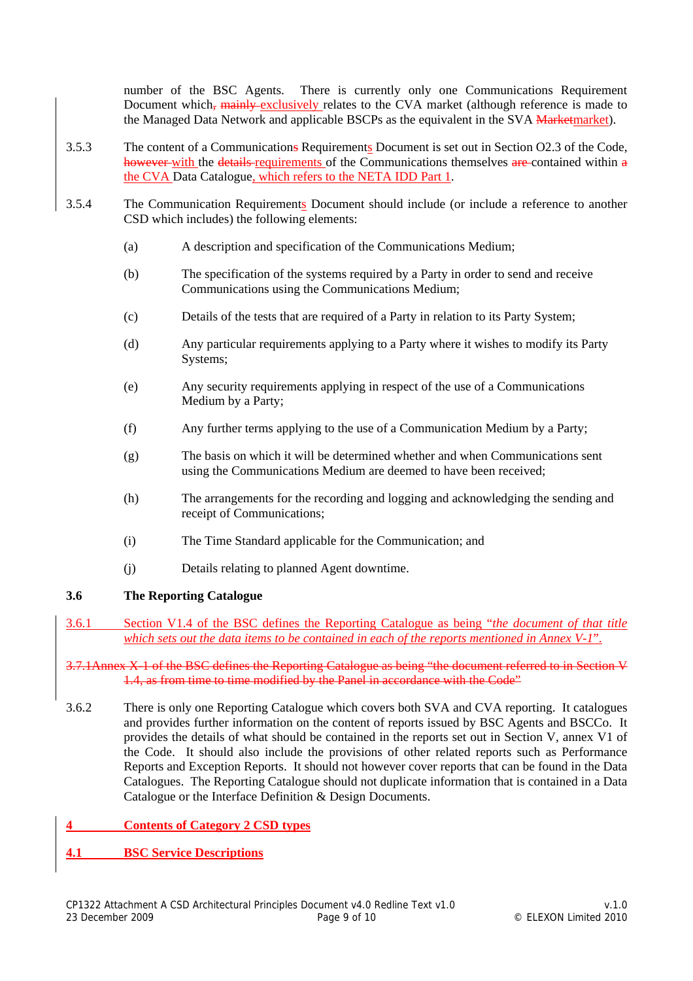number of the BSC Agents. There is currently only one Communications Requirement Document which, mainly exclusively relates to the CVA market (although reference is made to the Managed Data Network and applicable BSCPs as the equivalent in the SVA Marketmarket).

- 3.5.3 The content of a Communications Requirements Document is set out in Section O2.3 of the Code, however with the details requirements of the Communications themselves are contained within a the CVA Data Catalogue, which refers to the NETA IDD Part 1.
- 3.5.4 The Communication Requirements Document should include (or include a reference to another CSD which includes) the following elements:
	- (a) A description and specification of the Communications Medium;
	- (b) The specification of the systems required by a Party in order to send and receive Communications using the Communications Medium;
	- (c) Details of the tests that are required of a Party in relation to its Party System;
	- (d) Any particular requirements applying to a Party where it wishes to modify its Party Systems;
	- (e) Any security requirements applying in respect of the use of a Communications Medium by a Party;
	- (f) Any further terms applying to the use of a Communication Medium by a Party;
	- (g) The basis on which it will be determined whether and when Communications sent using the Communications Medium are deemed to have been received;
	- (h) The arrangements for the recording and logging and acknowledging the sending and receipt of Communications;
	- (i) The Time Standard applicable for the Communication; and
	- (j) Details relating to planned Agent downtime.

#### **3.6 The Reporting Catalogue**

3.6.1 Section V1.4 of the BSC defines the Reporting Catalogue as being "*the document of that title which sets out the data items to be contained in each of the reports mentioned in Annex V-1*".

3.7.1Annex X-1 of the BSC defines the Reporting Catalogue as being "the document referred to in Section V 1.4, as from time to time modified by the Panel in accordance with the Code"

- 3.6.2 There is only one Reporting Catalogue which covers both SVA and CVA reporting. It catalogues and provides further information on the content of reports issued by BSC Agents and BSCCo. It provides the details of what should be contained in the reports set out in Section V, annex V1 of the Code. It should also include the provisions of other related reports such as Performance Reports and Exception Reports. It should not however cover reports that can be found in the Data Catalogues. The Reporting Catalogue should not duplicate information that is contained in a Data Catalogue or the Interface Definition & Design Documents.
- **4 Contents of Category 2 CSD types**
- **4.1 BSC Service Descriptions**